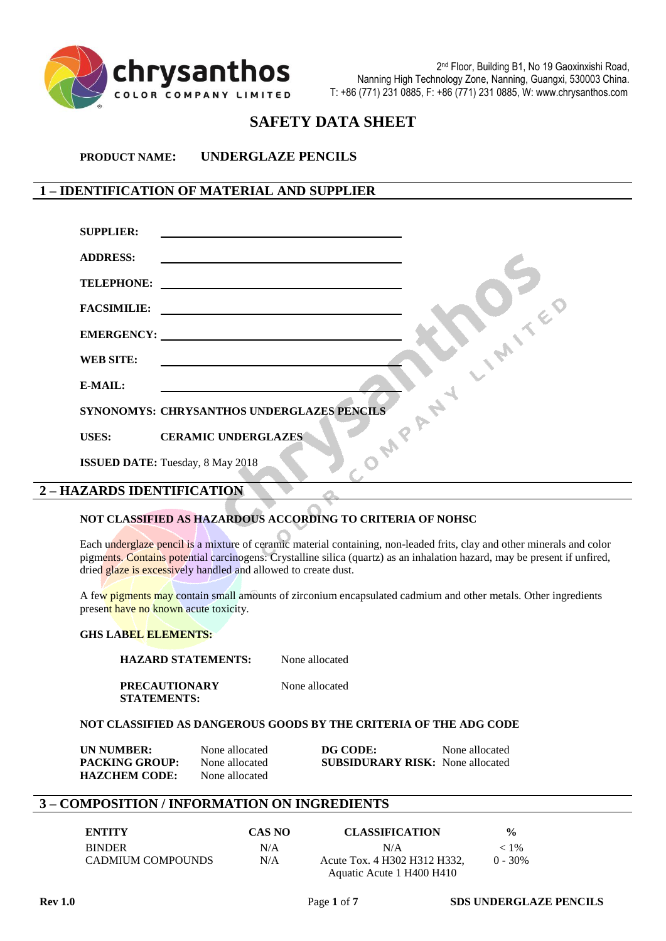

# **SAFETY DATA SHEET**

**PRODUCT NAME: UNDERGLAZE PENCILS**

# **1 – IDENTIFICATION OF MATERIAL AND SUPPLIER**

| <b>SUPPLIER:</b>           | <u> 1980 - Andrea Andrew Maria (h. 1980).</u>                                                                                                                                                                                 |
|----------------------------|-------------------------------------------------------------------------------------------------------------------------------------------------------------------------------------------------------------------------------|
| <b>ADDRESS:</b>            | the control of the control of the control of the control of the control of the control of the control of the control of the control of the control of the control of the control of the control of the control of the control |
| <b>TELEPHONE:</b>          |                                                                                                                                                                                                                               |
|                            |                                                                                                                                                                                                                               |
|                            |                                                                                                                                                                                                                               |
| <b>WEB SITE:</b>           |                                                                                                                                                                                                                               |
| E-MAIL:                    |                                                                                                                                                                                                                               |
|                            | SYNONOMYS: CHRYSANTHOS UNDERGLAZES PENCILS                                                                                                                                                                                    |
|                            | USES: CERAMIC UNDERGLAZES                                                                                                                                                                                                     |
|                            | <b>ISSUED DATE:</b> Tuesday, 8 May 2018                                                                                                                                                                                       |
| 2 - HAZARDS IDENTIFICATION |                                                                                                                                                                                                                               |

#### **NOT CLASSIFIED AS HAZARDOUS ACCORDING TO CRITERIA OF NOHSC**

Each underglaze pencil is a mixture of ceramic material containing, non-leaded frits, clay and other minerals and color pigments. Contains potential carcinogens: Crystalline silica (quartz) as an inhalation hazard, may be present if unfired, dried glaze is excessively handled and allowed to create dust.

A few pigments may contain small amounts of zirconium encapsulated cadmium and other metals. Other ingredients present have no known acute toxicity.

#### **GHS LABEL ELEMENTS:**

**HAZARD STATEMENTS:** None allocated

**PRECAUTIONARY** None allocated **STATEMENTS:**

## **NOT CLASSIFIED AS DANGEROUS GOODS BY THE CRITERIA OF THE ADG CODE**

| UN NUMBER:            | None allocated | DG CODE:                                | None allocated |
|-----------------------|----------------|-----------------------------------------|----------------|
| <b>PACKING GROUP:</b> | None allocated | <b>SUBSIDURARY RISK:</b> None allocated |                |
| <b>HAZCHEM CODE:</b>  | None allocated |                                         |                |

#### **3 – COMPOSITION / INFORMATION ON INGREDIENTS**

| <b>ENTITY</b>     | CAS NO | <b>CLASSIFICATION</b>        | $\frac{0}{0}$ |
|-------------------|--------|------------------------------|---------------|
| <b>BINDER</b>     | N/A    | N/A                          | $< 1\%$       |
| CADMIUM COMPOUNDS | N/A    | Acute Tox. 4 H302 H312 H332, | $0 - 30\%$    |
|                   |        | Aquatic Acute 1 H400 H410    |               |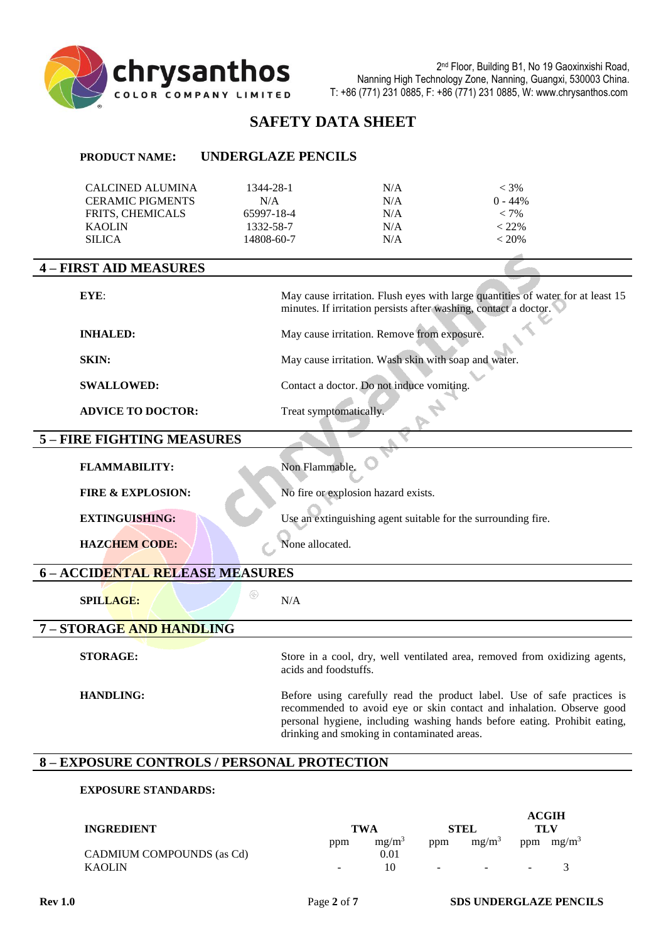

# **SAFETY DATA SHEET**

| <b>PRODUCT NAME:</b>                                                                                     | <b>UNDERGLAZE PENCILS</b>                                 |                                                      |                                                                                                                                                                                                                               |
|----------------------------------------------------------------------------------------------------------|-----------------------------------------------------------|------------------------------------------------------|-------------------------------------------------------------------------------------------------------------------------------------------------------------------------------------------------------------------------------|
| <b>CALCINED ALUMINA</b><br><b>CERAMIC PIGMENTS</b><br>FRITS, CHEMICALS<br><b>KAOLIN</b><br><b>SILICA</b> | 1344-28-1<br>N/A<br>65997-18-4<br>1332-58-7<br>14808-60-7 | N/A<br>N/A<br>N/A<br>N/A<br>N/A                      | $< 3\%$<br>$0 - 44%$<br>$< 7\%$<br>$< 22\%$<br>< 20%                                                                                                                                                                          |
| <b>4 - FIRST AID MEASURES</b>                                                                            |                                                           |                                                      |                                                                                                                                                                                                                               |
| EYE:                                                                                                     |                                                           |                                                      | May cause irritation. Flush eyes with large quantities of water for at least 15<br>minutes. If irritation persists after washing, contact a doctor.                                                                           |
| <b>INHALED:</b>                                                                                          |                                                           | May cause irritation. Remove from exposure.          |                                                                                                                                                                                                                               |
| SKIN:                                                                                                    |                                                           | May cause irritation. Wash skin with soap and water. |                                                                                                                                                                                                                               |
| <b>SWALLOWED:</b>                                                                                        |                                                           | Contact a doctor. Do not induce vomiting.            |                                                                                                                                                                                                                               |
| <b>ADVICE TO DOCTOR:</b>                                                                                 | Treat symptomatically.                                    |                                                      |                                                                                                                                                                                                                               |
| 5 - FIRE FIGHTING MEASURES                                                                               |                                                           |                                                      |                                                                                                                                                                                                                               |
| <b>FLAMMABILITY:</b>                                                                                     | Non Flammable.                                            |                                                      |                                                                                                                                                                                                                               |
| <b>FIRE &amp; EXPLOSION:</b>                                                                             |                                                           | No fire or explosion hazard exists.                  |                                                                                                                                                                                                                               |
| <b>EXTINGUISHING:</b>                                                                                    |                                                           |                                                      | Use an extinguishing agent suitable for the surrounding fire.                                                                                                                                                                 |
| <b>HAZCHEM CODE:</b>                                                                                     | None allocated.                                           |                                                      |                                                                                                                                                                                                                               |
| 6 - ACCIDENTAL RELEASE MEASURES                                                                          |                                                           |                                                      |                                                                                                                                                                                                                               |
| <b>SPILLAGE:</b>                                                                                         | $^{\circledR}$<br>N/A                                     |                                                      |                                                                                                                                                                                                                               |
| 7 - STORAGE AND HANDLING                                                                                 |                                                           |                                                      |                                                                                                                                                                                                                               |
| <b>STORAGE:</b>                                                                                          | acids and foodstuffs.                                     |                                                      | Store in a cool, dry, well ventilated area, removed from oxidizing agents,                                                                                                                                                    |
| <b>HANDLING:</b>                                                                                         |                                                           | drinking and smoking in contaminated areas.          | Before using carefully read the product label. Use of safe practices is<br>recommended to avoid eye or skin contact and inhalation. Observe good<br>personal hygiene, including washing hands before eating. Prohibit eating, |
| <b>8 - EXPOSURE CONTROLS / PERSONAL PROTECTION</b>                                                       |                                                           |                                                      |                                                                                                                                                                                                                               |

# **EXPOSURE STANDARDS:**

| <b>INGREDIENT</b>         |        | TWA                       |                          | STEL              |        | <b>ACGIH</b><br>TLV |
|---------------------------|--------|---------------------------|--------------------------|-------------------|--------|---------------------|
| CADMIUM COMPOUNDS (as Cd) | ppm    | mg/m <sup>3</sup><br>0.01 | ppm                      | mg/m <sup>3</sup> | ppm    | $mg/m^3$            |
| <b>KAOLIN</b>             | $\sim$ | 10                        | $\overline{\phantom{0}}$ | $\sim$            | $\sim$ |                     |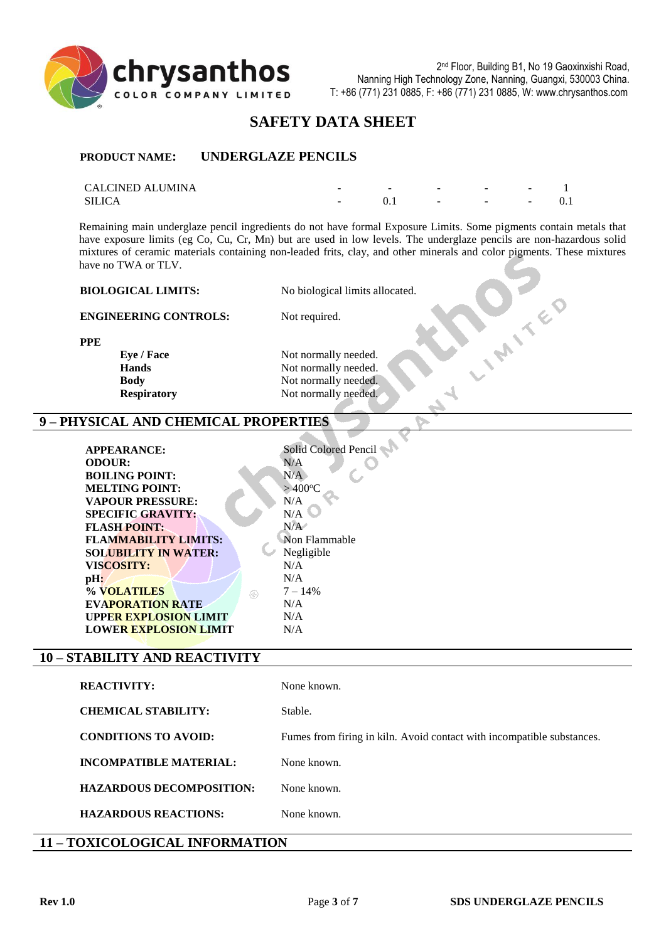

# **SAFETY DATA SHEET**

#### **PRODUCT NAME: UNDERGLAZE PENCILS**

| <b>CALCINED ALUMINA</b> | $\overline{\phantom{a}}$ | $\sim$ | $\sim$                   | $\sim$ | $\overline{\phantom{0}}$ |  |
|-------------------------|--------------------------|--------|--------------------------|--------|--------------------------|--|
| SILICA                  | $\sim$                   |        | $\overline{\phantom{0}}$ | $\sim$ | $\sim$                   |  |

Remaining main underglaze pencil ingredients do not have formal Exposure Limits. Some pigments contain metals that have exposure limits (eg Co, Cu, Cr, Mn) but are used in low levels. The underglaze pencils are non-hazardous solid mixtures of ceramic materials containing non-leaded frits, clay, and other minerals and color pigments. These mixtures have no TWA or TLV. **PONTED** 

| <b>BIOLOGICAL LIMITS:</b> | No biological limits allocated. |
|---------------------------|---------------------------------|
|                           |                                 |

**ENGINEERING CONTROLS:** Not required.

**PPE**

**Eye** / **Face** Not normally needed.

**Hands** Not normally needed. **Body** Not normally needed. **Respiratory** Not normally needed.

## **9 – PHYSICAL AND CHEMICAL PROPERTIES**

| <b>APPEARANCE:</b>           | Solid Colored Pencil |
|------------------------------|----------------------|
| <b>ODOUR:</b>                | N/A                  |
| <b>BOILING POINT:</b>        | N/A                  |
| <b>MELTING POINT:</b>        | $>400^{\circ}$ C     |
| <b>VAPOUR PRESSURE:</b>      | N/A                  |
| <b>SPECIFIC GRAVITY:</b>     | N/A                  |
| <b>FLASH POINT:</b>          | N/A                  |
| <b>FLAMMABILITY LIMITS:</b>  | Non Flammable        |
| <b>SOLUBILITY IN WATER:</b>  | Negligible           |
| <b>VISCOSITY:</b>            | N/A                  |
| pH:                          | N/A                  |
| % VOLATILES<br>$\circledR$   | $7 - 14%$            |
| <b>EVAPORATION RATE</b>      | N/A                  |
| <b>UPPER EXPLOSION LIMIT</b> | N/A                  |
| <b>LOWER EXPLOSION LIMIT</b> | N/A                  |
|                              |                      |
| 'TARILITY AND REACTIVITY     |                      |

# $10 - S$

| <b>REACTIVITY:</b>              | None known.                                                            |
|---------------------------------|------------------------------------------------------------------------|
| <b>CHEMICAL STABILITY:</b>      | Stable.                                                                |
| <b>CONDITIONS TO AVOID:</b>     | Fumes from firing in kiln. Avoid contact with incompatible substances. |
| <b>INCOMPATIBLE MATERIAL:</b>   | None known.                                                            |
| <b>HAZARDOUS DECOMPOSITION:</b> | None known.                                                            |
| <b>HAZARDOUS REACTIONS:</b>     | None known.                                                            |
|                                 |                                                                        |

# **11 – TOXICOLOGICAL INFORMATION**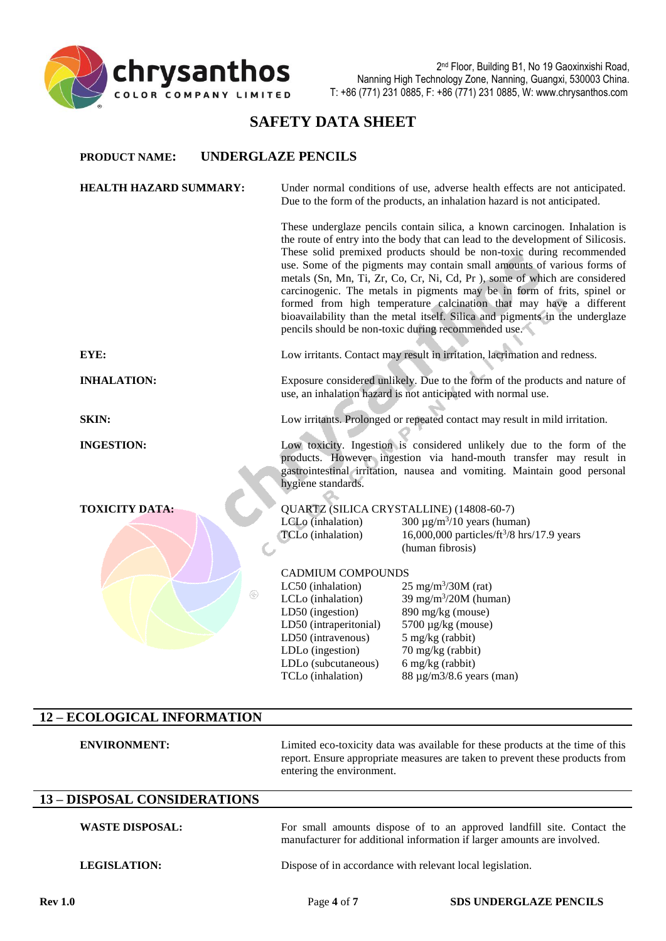

# **SAFETY DATA SHEET**

#### **PRODUCT NAME: UNDERGLAZE PENCILS**

| <b>HEALTH HAZARD SUMMARY:</b> |                                                                                                                                                                                                                                              | Under normal conditions of use, adverse health effects are not anticipated.<br>Due to the form of the products, an inhalation hazard is not anticipated.                                                                                                                                                                                                                                                                                                                                                                                                                                                                                                                              |  |
|-------------------------------|----------------------------------------------------------------------------------------------------------------------------------------------------------------------------------------------------------------------------------------------|---------------------------------------------------------------------------------------------------------------------------------------------------------------------------------------------------------------------------------------------------------------------------------------------------------------------------------------------------------------------------------------------------------------------------------------------------------------------------------------------------------------------------------------------------------------------------------------------------------------------------------------------------------------------------------------|--|
|                               |                                                                                                                                                                                                                                              | These underglaze pencils contain silica, a known carcinogen. Inhalation is<br>the route of entry into the body that can lead to the development of Silicosis.<br>These solid premixed products should be non-toxic during recommended<br>use. Some of the pigments may contain small amounts of various forms of<br>metals (Sn, Mn, Ti, Zr, Co, Cr, Ni, Cd, Pr), some of which are considered<br>carcinogenic. The metals in pigments may be in form of frits, spinel or<br>formed from high temperature calcination that may have a different<br>bioavailability than the metal itself. Silica and pigments in the underglaze<br>pencils should be non-toxic during recommended use. |  |
| EYE:                          |                                                                                                                                                                                                                                              | Low irritants. Contact may result in irritation, lacrimation and redness.                                                                                                                                                                                                                                                                                                                                                                                                                                                                                                                                                                                                             |  |
| <b>INHALATION:</b>            | Exposure considered unlikely. Due to the form of the products and nature of<br>use, an inhalation hazard is not anticipated with normal use.                                                                                                 |                                                                                                                                                                                                                                                                                                                                                                                                                                                                                                                                                                                                                                                                                       |  |
| <b>SKIN:</b>                  |                                                                                                                                                                                                                                              | Low irritants. Prolonged or repeated contact may result in mild irritation.                                                                                                                                                                                                                                                                                                                                                                                                                                                                                                                                                                                                           |  |
| <b>INGESTION:</b>             | Low toxicity. Ingestion is considered unlikely due to the form of the<br>products. However ingestion via hand-mouth transfer may result in<br>gastrointestinal irritation, nausea and vomiting. Maintain good personal<br>hygiene standards. |                                                                                                                                                                                                                                                                                                                                                                                                                                                                                                                                                                                                                                                                                       |  |
| <b>TOXICITY DATA:</b>         |                                                                                                                                                                                                                                              | QUARTZ (SILICA CRYSTALLINE) (14808-60-7)                                                                                                                                                                                                                                                                                                                                                                                                                                                                                                                                                                                                                                              |  |
|                               | LCLo (inhalation)                                                                                                                                                                                                                            | 300 $\mu$ g/m <sup>3</sup> /10 years (human)                                                                                                                                                                                                                                                                                                                                                                                                                                                                                                                                                                                                                                          |  |
|                               | TCLo (inhalation)                                                                                                                                                                                                                            | 16,000,000 particles/ft <sup>3</sup> /8 hrs/17.9 years<br>(human fibrosis)                                                                                                                                                                                                                                                                                                                                                                                                                                                                                                                                                                                                            |  |
|                               | <b>CADMIUM COMPOUNDS</b>                                                                                                                                                                                                                     |                                                                                                                                                                                                                                                                                                                                                                                                                                                                                                                                                                                                                                                                                       |  |
|                               | LC50 (inhalation)                                                                                                                                                                                                                            | $25 \text{ mg/m}^3 / 30 \text{M}$ (rat)                                                                                                                                                                                                                                                                                                                                                                                                                                                                                                                                                                                                                                               |  |
| ⊛                             | LCLo (inhalation)                                                                                                                                                                                                                            | 39 mg/m $3/20M$ (human)                                                                                                                                                                                                                                                                                                                                                                                                                                                                                                                                                                                                                                                               |  |
|                               | LD50 (ingestion)                                                                                                                                                                                                                             | 890 mg/kg (mouse)                                                                                                                                                                                                                                                                                                                                                                                                                                                                                                                                                                                                                                                                     |  |
|                               | LD50 (intraperitonial)                                                                                                                                                                                                                       | $5700 \mu g/kg$ (mouse)                                                                                                                                                                                                                                                                                                                                                                                                                                                                                                                                                                                                                                                               |  |
|                               | LD50 (intravenous)                                                                                                                                                                                                                           | 5 mg/kg (rabbit)<br>70 mg/kg (rabbit)                                                                                                                                                                                                                                                                                                                                                                                                                                                                                                                                                                                                                                                 |  |
|                               | LDLo (ingestion)<br>LDLo (subcutaneous)                                                                                                                                                                                                      | 6 mg/kg (rabbit)                                                                                                                                                                                                                                                                                                                                                                                                                                                                                                                                                                                                                                                                      |  |
|                               | TCLo (inhalation)                                                                                                                                                                                                                            | $88 \mu g/m3/8.6$ years (man)                                                                                                                                                                                                                                                                                                                                                                                                                                                                                                                                                                                                                                                         |  |
|                               |                                                                                                                                                                                                                                              |                                                                                                                                                                                                                                                                                                                                                                                                                                                                                                                                                                                                                                                                                       |  |

# **12 – ECOLOGICAL INFORMATION**

| <b>ENVIRONMENT:</b>                 | Limited eco-toxicity data was available for these products at the time of this<br>report. Ensure appropriate measures are taken to prevent these products from<br>entering the environment. |
|-------------------------------------|---------------------------------------------------------------------------------------------------------------------------------------------------------------------------------------------|
| <b>13 - DISPOSAL CONSIDERATIONS</b> |                                                                                                                                                                                             |
| <b>WASTE DISPOSAL:</b>              | For small amounts dispose of to an approved landfill site. Contact the<br>manufacturer for additional information if larger amounts are involved.                                           |
| <b>LEGISLATION:</b>                 | Dispose of in accordance with relevant local legislation.                                                                                                                                   |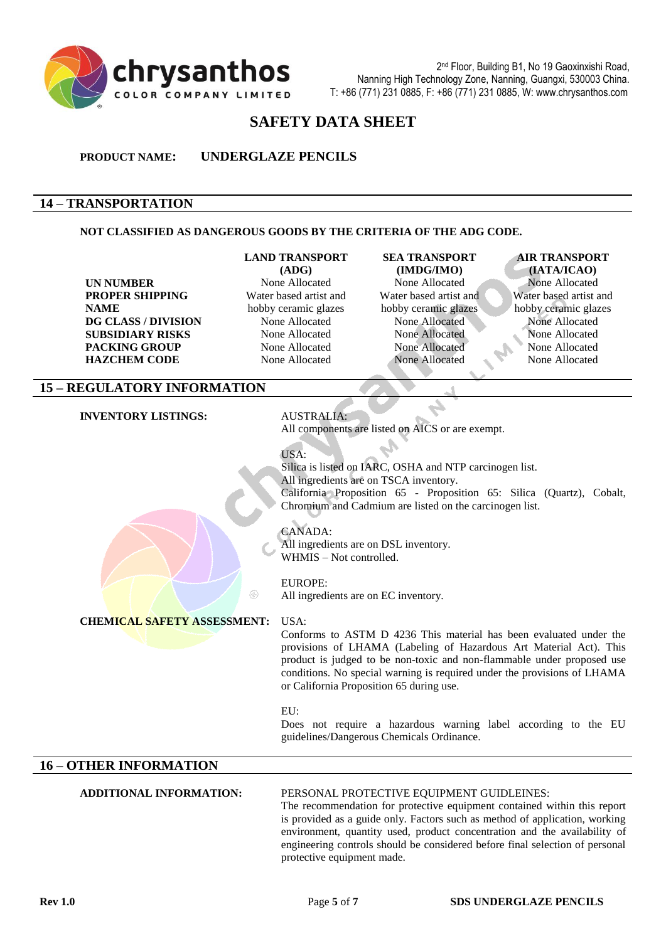

# **SAFETY DATA SHEET**

**PRODUCT NAME: UNDERGLAZE PENCILS**

## **14 – TRANSPORTATION**

#### **NOT CLASSIFIED AS DANGEROUS GOODS BY THE CRITERIA OF THE ADG CODE.**

# **UN NUMBER** None Allocated None Allocated None Allocated None Allocated None Allocated **PROPER SHIPPING NAME DG CLASS / DIVISION** None Allocated None Allocated None Allocated None Allocated **SUBSIDIARY RISKS** None Allocated None Allocated None Allocated None Allocated **PACKING GROUP** None Allocated None Allocated None Allocated None Allocated None Allocated

#### **LAND TRANSPORT**

**(ADG)** Water based artist and hobby ceramic glazes **HAZCHEM CODE** None Allocated None Allocated None Allocated None Allocated

# **SEA TRANSPORT (IMDG/IMO)** Water based artist and hobby ceramic glazes

# **AIR TRANSPORT**

**(IATA/ICAO)** Water based artist and hobby ceramic glazes

# **15 – REGULATORY INFORMATION**

**INVENTORY LISTINGS:** AUSTRALIA:

All components are listed on AICS or are exempt.

USA:

Silica is listed on IARC, OSHA and NTP carcinogen list. All ingredients are on TSCA inventory. California Proposition 65 - Proposition 65: Silica (Quartz), Cobalt, Chromium and Cadmium are listed on the carcinogen list.

CANADA:

All ingredients are on DSL inventory. WHMIS – Not controlled.

#### EUROPE:

All ingredients are on EC inventory.

#### **CHEMICAL SAFETY ASSESSMENT:** USA:

Conforms to ASTM D 4236 This material has been evaluated under the provisions of LHAMA (Labeling of Hazardous Art Material Act). This product is judged to be non-toxic and non-flammable under proposed use conditions. No special warning is required under the provisions of LHAMA or California Proposition 65 during use.

#### EU:

Does not require a hazardous warning label according to the EU guidelines/Dangerous Chemicals Ordinance.

# **16 – OTHER INFORMATION**

#### **ADDITIONAL INFORMATION:** PERSONAL PROTECTIVE EQUIPMENT GUIDLEINES:

The recommendation for protective equipment contained within this report is provided as a guide only. Factors such as method of application, working environment, quantity used, product concentration and the availability of engineering controls should be considered before final selection of personal protective equipment made.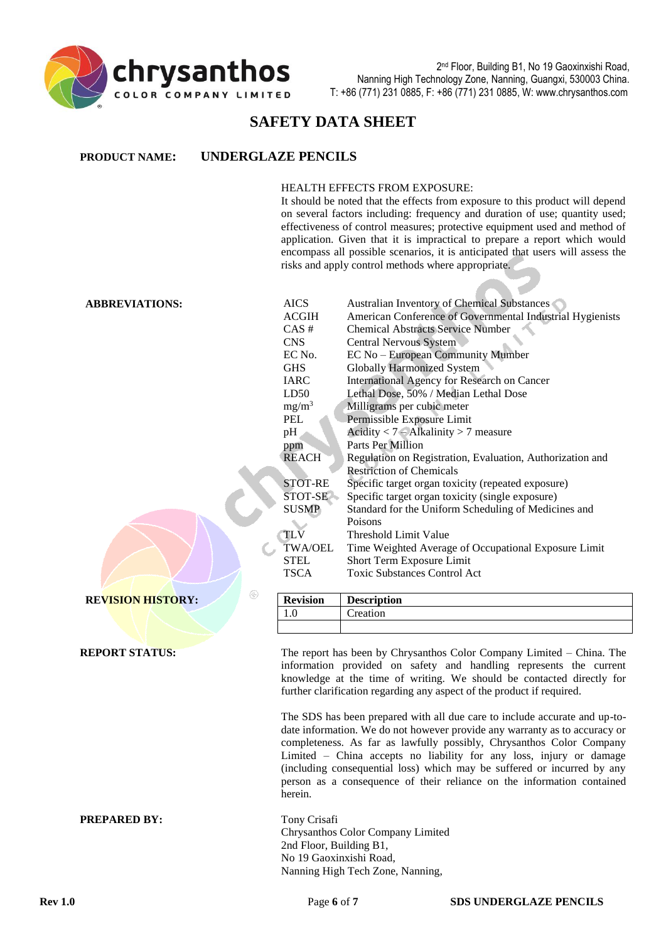

# **SAFETY DATA SHEET**

#### HEALTH EFFECTS FROM EXPOSURE:

It should be noted that the effects from exposure to this product will depend on several factors including: frequency and duration of use; quantity used; effectiveness of control measures; protective equipment used and method of application. Given that it is impractical to prepare a report which would encompass all possible scenarios, it is anticipated that users will assess the risks and apply control methods where appropriate.

#### **ABBREVIATIONS:** AICS Australian Inventory of Chemical Substances

| <b>ACGIH</b> | American Conference of Governmental Industrial Hygienists |
|--------------|-----------------------------------------------------------|
| $CAS \#$     | <b>Chemical Abstracts Service Number</b>                  |
| <b>CNS</b>   | <b>Central Nervous System</b>                             |
| EC No.       | EC No – European Community Mumber                         |
| <b>GHS</b>   | <b>Globally Harmonized System</b>                         |
| <b>IARC</b>  | International Agency for Research on Cancer               |
| LD50         | Lethal Dose, 50% / Median Lethal Dose                     |
| $mg/m^3$     | Milligrams per cubic meter                                |
| PEL          | Permissible Exposure Limit                                |
| pH           | Acidity $< 7 - Alkalinity > 7$ measure                    |
| ppm          | Parts Per Million                                         |
| <b>REACH</b> | Regulation on Registration, Evaluation, Authorization and |
|              | <b>Restriction of Chemicals</b>                           |
| STOT-RE      | Specific target organ toxicity (repeated exposure)        |
| STOT-SE      | Specific target organ toxicity (single exposure)          |
| <b>SUSMP</b> | Standard for the Uniform Scheduling of Medicines and      |
|              | Poisons                                                   |
| <b>TLV</b>   | Threshold Limit Value                                     |
| TWA/OEL      | Time Weighted Average of Occupational Exposure Limit      |
| <b>STEL</b>  | Short Term Exposure Limit                                 |
| TSCA         | <b>Toxic Substances Control Act</b>                       |
|              |                                                           |

**REVISION HISTORY: Revision Description** 

**REPORT STATUS:** The report has been by Chrysanthos Color Company Limited – China. The information provided on safety and handling represents the current knowledge at the time of writing. We should be contacted directly for further clarification regarding any aspect of the product if required.

> The SDS has been prepared with all due care to include accurate and up-todate information. We do not however provide any warranty as to accuracy or completeness. As far as lawfully possibly, Chrysanthos Color Company Limited – China accepts no liability for any loss, injury or damage (including consequential loss) which may be suffered or incurred by any person as a consequence of their reliance on the information contained herein.

**PREPARED BY:** Tony Crisafi Chrysanthos Color Company Limited 2nd Floor, Building B1, No 19 Gaoxinxishi Road, Nanning High Tech Zone, Nanning,

1.0 Creation